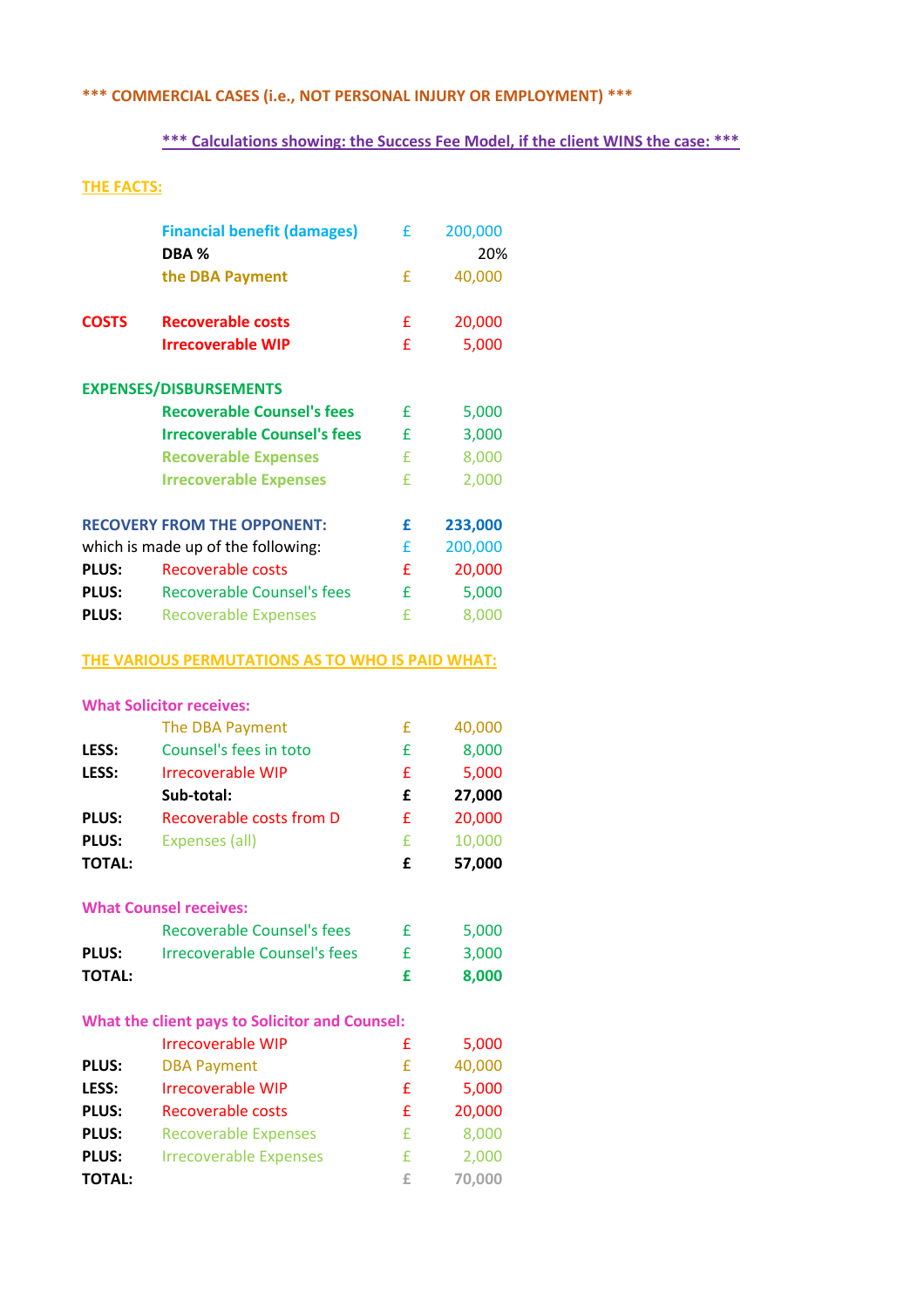## **\*\*\* COMMERCIAL CASES (i.e., NOT PERSONAL INJURY OR EMPLOYMENT) \*\*\***

## **\*\*\* Calculations showing: the Success Fee Model, if the client WINS the case: \*\*\***

## **THE FACTS:**

|                                    | <b>Financial benefit (damages)</b>               | £ | 200,000 |
|------------------------------------|--------------------------------------------------|---|---------|
|                                    | DBA %                                            |   | 20%     |
|                                    | the DBA Payment                                  | £ | 40,000  |
| <b>COSTS</b>                       | <b>Recoverable costs</b>                         | £ | 20,000  |
|                                    | <b>Irrecoverable WIP</b>                         | £ | 5,000   |
|                                    | <b>EXPENSES/DISBURSEMENTS</b>                    |   |         |
|                                    | <b>Recoverable Counsel's fees</b>                | £ | 5,000   |
|                                    | <b>Irrecoverable Counsel's fees</b>              | £ | 3,000   |
|                                    | <b>Recoverable Expenses</b>                      | £ | 8,000   |
|                                    | <b>Irrecoverable Expenses</b>                    | £ | 2,000   |
| <b>RECOVERY FROM THE OPPONENT:</b> |                                                  | £ | 233,000 |
| which is made up of the following: |                                                  | £ | 200,000 |
| <b>PLUS:</b>                       | <b>Recoverable costs</b>                         | £ | 20,000  |
| <b>PLUS:</b>                       | <b>Recoverable Counsel's fees</b>                | £ | 5,000   |
| <b>PLUS:</b>                       | <b>Recoverable Expenses</b>                      | £ | 8,000   |
|                                    | THE VARIOUS PERMUTATIONS AS TO WHO IS PAID WHAT: |   |         |

#### **What Solicitor receives:**

|                                                       | The DBA Payment                     | £ | 40,000 |  |
|-------------------------------------------------------|-------------------------------------|---|--------|--|
| LESS:                                                 | Counsel's fees in toto              | £ | 8,000  |  |
| LESS:                                                 | <b>Irrecoverable WIP</b>            | £ | 5,000  |  |
|                                                       | Sub-total:                          | £ | 27,000 |  |
| <b>PLUS:</b>                                          | <b>Recoverable costs from D</b>     | £ | 20,000 |  |
| <b>PLUS:</b>                                          | <b>Expenses (all)</b>               | £ | 10,000 |  |
| <b>TOTAL:</b>                                         |                                     | £ | 57,000 |  |
|                                                       | <b>What Counsel receives:</b>       |   |        |  |
|                                                       | <b>Recoverable Counsel's fees</b>   | £ | 5,000  |  |
| <b>PLUS:</b>                                          | <b>Irrecoverable Counsel's fees</b> | £ | 3,000  |  |
| <b>TOTAL:</b>                                         |                                     | £ | 8,000  |  |
| <b>What the client pays to Solicitor and Counsel:</b> |                                     |   |        |  |
|                                                       | <b>Irrecoverable WIP</b>            | £ | 5,000  |  |
| <b>PLUS:</b>                                          | <b>DBA Payment</b>                  | £ | 40,000 |  |
| LESS:                                                 | Irrecoverable WIP                   | £ | 5,000  |  |
| <b>PLUS:</b>                                          | Recoverable costs                   | £ | 20,000 |  |
| <b>PLUS:</b>                                          | <b>Recoverable Expenses</b>         | £ | 8,000  |  |
| <b>PLUS:</b>                                          | <b>Irrecoverable Expenses</b>       | £ | 2,000  |  |
| <b>TOTAL:</b>                                         |                                     | £ | 70,000 |  |